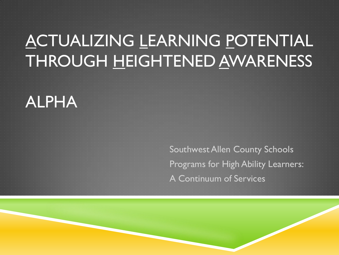## ACTUALIZING LEARNING POTENTIAL THROUGH HEIGHTENED AWARENESS

#### ALPHA

Southwest Allen County Schools Programs for High Ability Learners: A Continuum of Services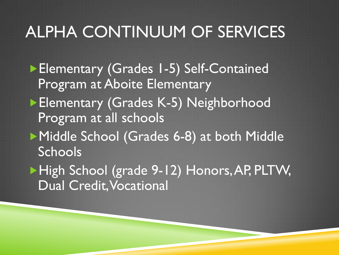# ALPHA CONTINUUM OF SERVICES

▶ Elementary (Grades 1-5) Self-Contained Program at Aboite Elementary Elementary (Grades K-5) Neighborhood Program at all schools ▶ Middle School (Grades 6-8) at both Middle **Schools** ▶ High School (grade 9-12) Honors, AP, PLTW,

Dual Credit, Vocational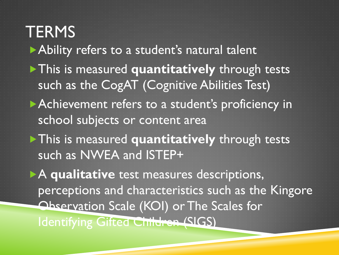**TERMS** Ability refers to a student's natural talent **This is measured quantitatively through tests** such as the CogAT (Cognitive Abilities Test) Achievement refers to a student's proficiency in school subjects or content area This is measured **quantitatively** through tests such as NWEA and ISTEP+ A **qualitative** test measures descriptions, perceptions and characteristics such as the Kingore Observation Scale (KOI) or The Scales for Identifying Gifted Children (SIGS)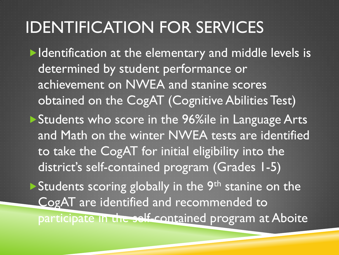Intertualies and indepth is a left in the elementary and middle levels is determined by student performance or achievement on NWEA and stanine scores obtained on the CogAT (Cognitive Abilities Test) ▶ Students who score in the 96%ile in Language Arts and Math on the winter NWEA tests are identified to take the CogAT for initial eligibility into the district's self-contained program (Grades 1-5) Students scoring globally in the  $9<sup>th</sup>$  stanine on the CogAT are identified and recommended to participate in the self-contained program at Aboite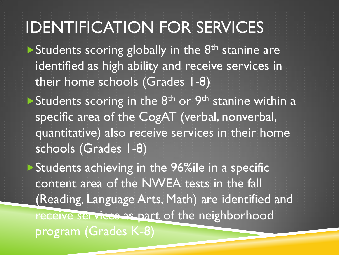Students scoring globally in the  $8<sup>th</sup>$  stanine are identified as high ability and receive services in their home schools (Grades 1-8)

Students scoring in the  $8<sup>th</sup>$  or  $9<sup>th</sup>$  stanine within a specific area of the CogAT (verbal, nonverbal, quantitative) also receive services in their home schools (Grades 1-8)

Students achieving in the 96%ile in a specific content area of the NWEA tests in the fall (Reading, Language Arts, Math) are identified and receive services as part of the neighborhood program (Grades K-8)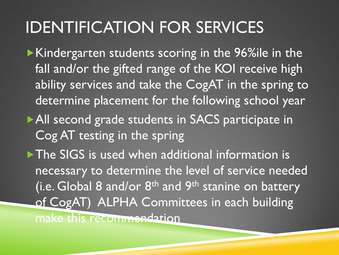Kindergarten students scoring in the 96%ile in the fall and/or the gifted range of the KOI receive high ability services and take the CogAT in the spring to determine placement for the following school year All second grade students in SACS participate in Cog AT testing in the spring The SIGS is used when additional information is necessary to determine the level of service needed (i.e. Global 8 and/or  $8<sup>th</sup>$  and  $9<sup>th</sup>$  stanine on battery of CogAT) ALPHA Committees in each building make this recommendation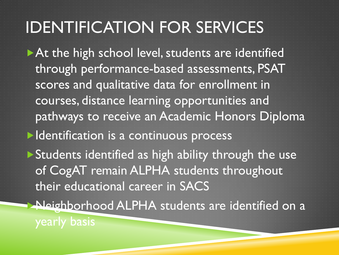At the high school level, students are identified through performance-based assessments, PSAT scores and qualitative data for enrollment in courses, distance learning opportunities and pathways to receive an Academic Honors Diploma

**Identification is a continuous process** 

**Students identified as high ability through the use** of CogAT remain ALPHA students throughout their educational career in SACS

Neighborhood ALPHA students are identified on a

yearly basis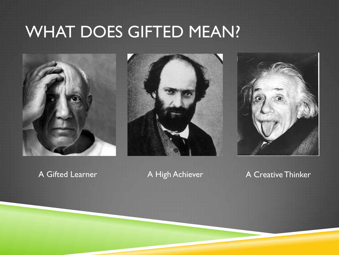# WHAT DOES GIFTED MEAN?







#### A Gifted Learner A High Achiever A Creative Thinker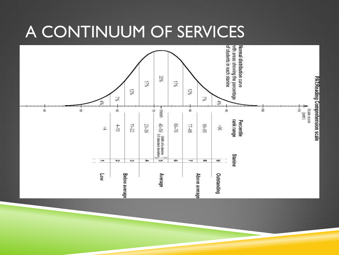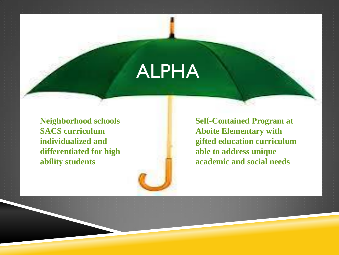# ALPHA

**Neighborhood schools SACS curriculum individualized and differentiated for high ability students**

**Self-Contained Program at Aboite Elementary with gifted education curriculum able to address unique academic and social needs**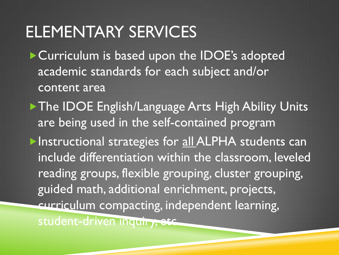#### ELEMENTARY SERVICES

Curriculum is based upon the IDOE's adopted academic standards for each subject and/or content area

▶ The IDOE English/Language Arts High Ability Units are being used in the self-contained program **Instructional strategies for all ALPHA students can** include differentiation within the classroom, leveled reading groups, flexible grouping, cluster grouping, guided math, additional enrichment, projects, curriculum compacting, independent learning, student-driven inquiry, etc.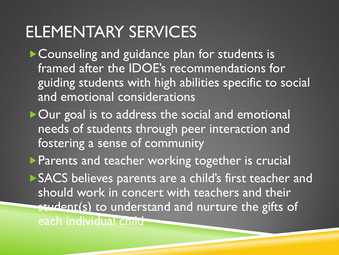### ELEMENTARY SERVICES

▶ Counseling and guidance plan for students is framed after the IDOE's recommendations for guiding students with high abilities specific to social and emotional considerations

▶ Our goal is to address the social and emotional needs of students through peer interaction and fostering a sense of community

**Parents and teacher working together is crucial** SACS believes parents are a child's first teacher and should work in concert with teachers and their student(s) to understand and nurture the gifts of each individual child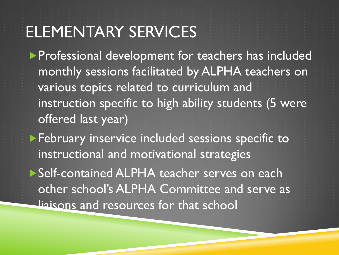#### ELEMENTARY SERVICES

**Professional development for teachers has included** monthly sessions facilitated by ALPHA teachers on various topics related to curriculum and instruction specific to high ability students (5 were offered last year)

February inservice included sessions specific to instructional and motivational strategies

▶ Self-contained ALPHA teacher serves on each other school's ALPHA Committee and serve as liaisons and resources for that school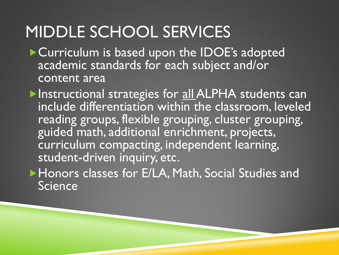#### MIDDLE SCHOOL SERVICES

Curriculum is based upon the IDOE's adopted academic standards for each subject and/or content area

Instructional strategies for all ALPHA students can include differentiation within the classroom, leveled reading groups, flexible grouping, cluster grouping, guided math, additional enrichment, projects, curriculum compacting, independent learning, student-driven inquiry, etc.

Honors classes for E/LA, Math, Social Studies and **Science**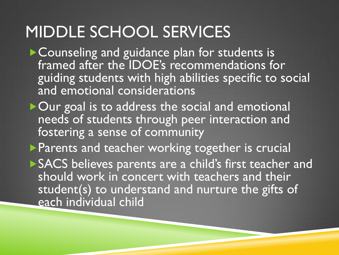#### MIDDLE SCHOOL SERVICES

▶ Counseling and guidance plan for students is framed after the IDOE's recommendations for guiding students with high abilities specific to social and emotional considerations

▶ Our goal is to address the social and emotional needs of students through peer interaction and fostering a sense of community

**Parents and teacher working together is crucial** SACS believes parents are a child's first teacher and should work in concert with teachers and their student(s) to understand and nurture the gifts of each individual child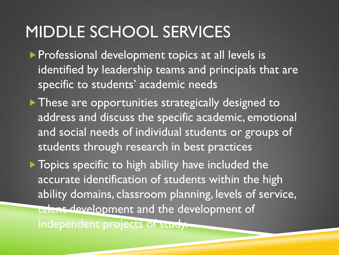#### MIDDLE SCHOOL SERVICES

**Professional development topics at all levels is** identified by leadership teams and principals that are specific to students' academic needs

These are opportunities strategically designed to address and discuss the specific academic, emotional and social needs of individual students or groups of students through research in best practices

▶ Topics specific to high ability have included the accurate identification of students within the high ability domains, classroom planning, levels of service, talent development and the development of

independent projects of study.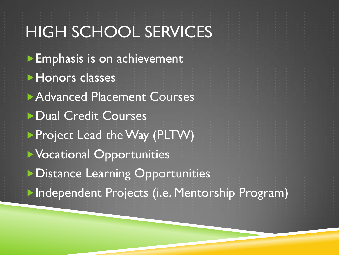### HIGH SCHOOL SERVICES

**Emphasis is on achievement Honors classes Advanced Placement Courses** ▶ Dual Credit Courses **Project Lead the Way (PLTW)** Vocational Opportunities **Distance Learning Opportunities Independent Projects (i.e. Mentorship Program)**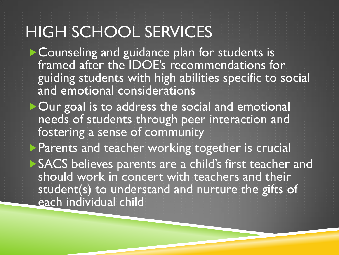#### HIGH SCHOOL SERVICES

▶ Counseling and guidance plan for students is framed after the IDOE's recommendations for guiding students with high abilities specific to social and emotional considerations

▶ Our goal is to address the social and emotional needs of students through peer interaction and fostering a sense of community

**Parents and teacher working together is crucial** SACS believes parents are a child's first teacher and should work in concert with teachers and their student(s) to understand and nurture the gifts of each individual child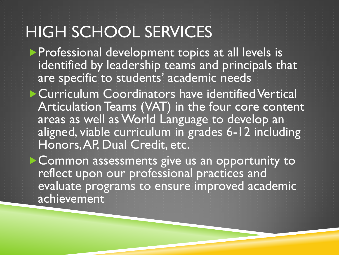#### HIGH SCHOOL SERVICES

**Professional development topics at all levels is** identified by leadership teams and principals that are specific to students' academic needs

**Curriculum Coordinators have identified Vertical** Articulation Teams (VAT) in the four core content areas as well as World Language to develop an aligned, viable curriculum in grades 6-12 including Honors, AP, Dual Credit, etc.

Common assessments give us an opportunity to reflect upon our professional practices and evaluate programs to ensure improved academic achievement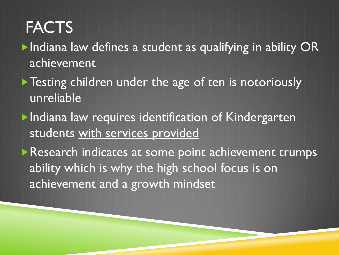# **FACTS**

- ▶ Indiana law defines a student as qualifying in ability OR achievement
- **Testing children under the age of ten is notoriously** unreliable
- **Indiana law requires identification of Kindergarten** students with services provided
- **Research indicates at some point achievement trumps** ability which is why the high school focus is on achievement and a growth mindset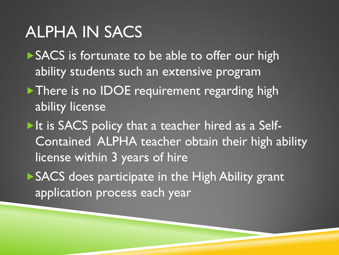#### ALPHA IN SACS

SACS is fortunate to be able to offer our high ability students such an extensive program There is no IDOE requirement regarding high ability license

It is SACS policy that a teacher hired as a Self-Contained ALPHA teacher obtain their high ability license within 3 years of hire

▶ SACS does participate in the High Ability grant application process each year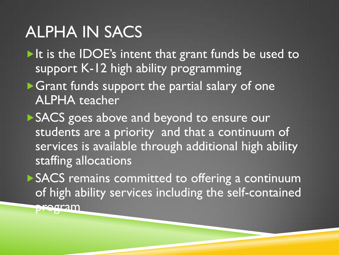### ALPHA IN SACS

 $\blacktriangleright$  It is the IDOE's intent that grant funds be used to support K-12 high ability programming

Grant funds support the partial salary of one ALPHA teacher

SACS goes above and beyond to ensure our students are a priority and that a continuum of services is available through additional high ability staffing allocations

SACS remains committed to offering a continuum of high ability services including the self-contained program